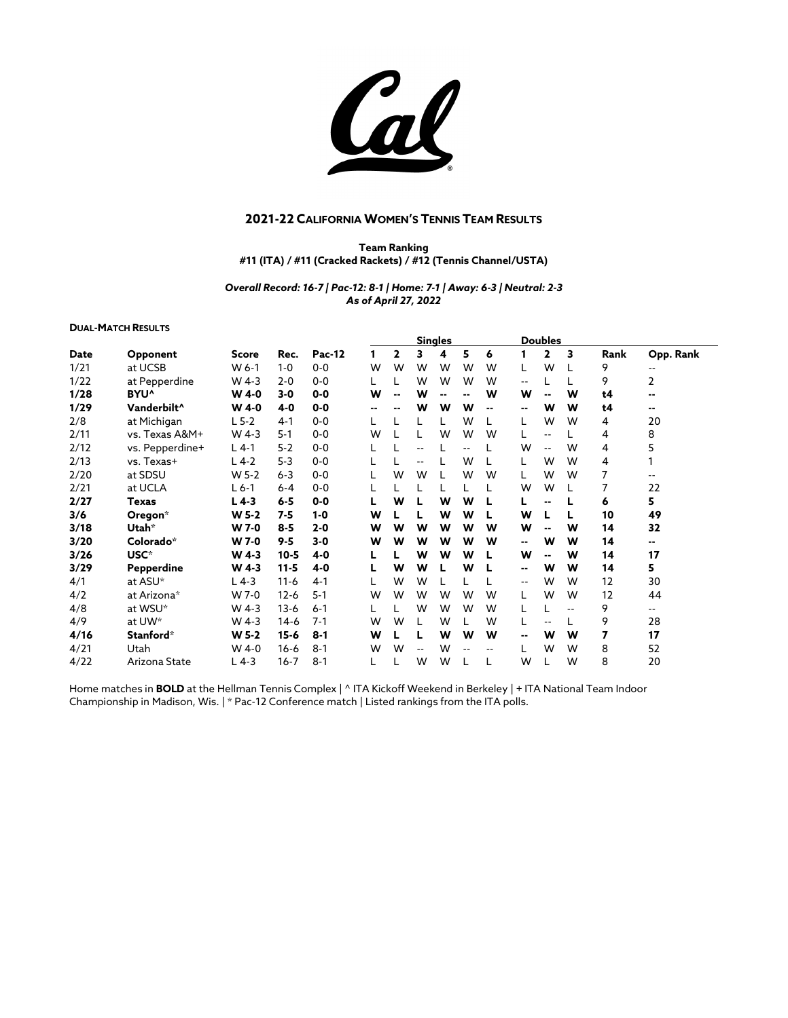Cal

## **2021-22 CALIFORNIA WOMEN'S TENNIS TEAM RESULTS**

**Team Ranking #11 (ITA) / #11 (Cracked Rackets) / #12 (Tennis Channel/USTA)**

*Overall Record: 16-7 | Pac-12: 8-1 | Home: 7-1 | Away: 6-3 | Neutral: 2-3 As of April 27, 2022*

## **DUAL-MATCH RESULTS**

|      |                         |              |          |         | <b>Singles</b> |                          |      |                |      |    |                          | <b>Doubles</b>           |     |      |               |
|------|-------------------------|--------------|----------|---------|----------------|--------------------------|------|----------------|------|----|--------------------------|--------------------------|-----|------|---------------|
| Date | Opponent                | <b>Score</b> | Rec.     | Pac-12  |                | 2                        | 3    | 4              | 5    | 6  | 1                        | 2                        | 3   | Rank | Opp. Rank     |
| 1/21 | at UCSB                 | W 6-1        | $1 - 0$  | $0 - 0$ | W              | W                        | W    | W              | W    | w  | L                        | W                        |     | 9    | $\sim$ $\sim$ |
| 1/22 | at Pepperdine           | W 4-3        | $2 - 0$  | $0 - 0$ |                |                          | W    | W              | W    | w  | --                       |                          |     | 9    | 2             |
| 1/28 | BYU <sup>^</sup>        | <b>W</b> 4-0 | $3 - 0$  | $0 - 0$ | W              | $\overline{\phantom{a}}$ | W    | $\blacksquare$ |      | W  | W                        | $\overline{\phantom{a}}$ | W   | t4   | $\sim$        |
| 1/29 | Vanderbilt <sup>^</sup> | <b>W</b> 4-0 | $4 - 0$  | $0-0$   | --             |                          | w    | W              | W    | -- | --                       | W                        | W   | t4   | --            |
| 2/8  | at Michigan             | $L$ 5-2      | $4 - 1$  | $0 - 0$ |                |                          |      |                | W    |    | L                        | W                        | W   | 4    | 20            |
| 2/11 | vs. Texas A&M+          | W 4-3        | $5-1$    | $0-0$   | W              |                          |      | W              | W    | w  | L                        | $-1$                     |     | 4    | 8             |
| 2/12 | vs. Pepperdine+         | $L$ 4-1      | $5 - 2$  | $0-0$   |                |                          | ۰.   |                | $-1$ |    | W                        | $\sim$ $\sim$            | W   | 4    | 5             |
| 2/13 | vs. Texas+              | L 4-2        | $5 - 3$  | $0 - 0$ |                |                          |      |                | W    |    | L                        | W                        | W   | 4    |               |
| 2/20 | at SDSU                 | W 5-2        | $6 - 3$  | $0 - 0$ |                | W                        | W    |                | W    | w  | L                        | W                        | W   | 7    | $- -$         |
| 2/21 | at UCLA                 | $L$ 6-1      | $6-4$    | $0 - 0$ |                |                          |      |                |      |    | W                        | W                        |     |      | 22            |
| 2/27 | Texas                   | $L$ 4-3      | $6 - 5$  | $0 - 0$ |                | W                        |      | W              | W    |    | L                        | $\overline{\phantom{a}}$ |     | 6    | 5             |
| 3/6  | Oregon*                 | W 5-2        | $7-5$    | $1 - 0$ | W              |                          |      | W              | W    |    | W                        |                          |     | 10   | 49            |
| 3/18 | Utah*                   | W 7-0        | $8 - 5$  | $2 - 0$ | W              | W                        | W    | W              | W    | w  | W                        | $\overline{\phantom{a}}$ | W   | 14   | 32            |
| 3/20 | Colorado*               | <b>W</b> 7-0 | $9 - 5$  | $3 - 0$ | W              | W                        | W    | W              | W    | W  | --                       | W                        | W   | 14   | --            |
| 3/26 | USC*                    | W 4-3        | $10 - 5$ | $4 - 0$ | L              |                          | W    | W              | W    |    | W                        | $\sim$ $\sim$            | W   | 14   | 17            |
| 3/29 | Pepperdine              | W 4-3        | $11 - 5$ | $4-0$   | L              | W                        | W    |                | W    |    | ۰.                       | W                        | W   | 14   | 5             |
| 4/1  | at ASU*                 | $L$ 4-3      | $11-6$   | $4 - 1$ |                | W                        | W    |                |      |    | ۰.                       | W                        | W   | 12   | 30            |
| 4/2  | at Arizona*             | W 7-0        | $12 - 6$ | $5 - 1$ | W              | W                        | W    | W              | W    | W  | L                        | W                        | W   | 12   | 44            |
| 4/8  | at WSU*                 | W 4-3        | $13 - 6$ | $6 - 1$ |                |                          | W    | W              | W    | W  | L                        |                          | $-$ | 9    | $-1$          |
| 4/9  | at UW*                  | $W$ 4-3      | $14-6$   | $7 - 1$ | w              | W                        | L    | W              |      | w  | L                        |                          |     | 9    | 28            |
| 4/16 | Stanford*               | W 5-2        | $15 - 6$ | $8 - 1$ | W              |                          | L    | W              | W    | W  | $\overline{\phantom{a}}$ | W                        | W   | 7    | 17            |
| 4/21 | Utah                    | W 4-0        | $16 - 6$ | $8 - 1$ | W              | W                        | $-1$ | W              |      |    | L                        | W                        | W   | 8    | 52            |
| 4/22 | Arizona State           | $L$ 4-3      | $16 - 7$ | $8 - 1$ |                |                          | W    | W              |      |    | W                        |                          | W   | 8    | 20            |

Home matches in **BOLD** at the Hellman Tennis Complex | ^ ITA Kickoff Weekend in Berkeley | + ITA National Team Indoor Championship in Madison, Wis. | \* Pac-12 Conference match | Listed rankings from the ITA polls.